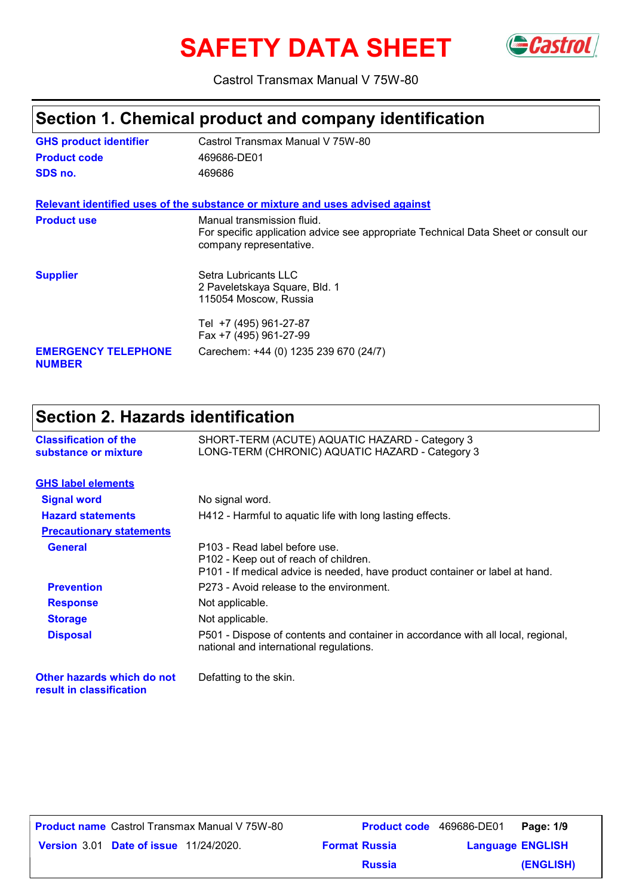# **SAFETY DATA SHEET** GCastrol



Castrol Transmax Manual V 75W-80

## **Section 1. Chemical product and company identification**

| <b>GHS product identifier</b>               | Castrol Transmax Manual V 75W-80                                                                                                             |
|---------------------------------------------|----------------------------------------------------------------------------------------------------------------------------------------------|
| <b>Product code</b>                         | 469686-DE01                                                                                                                                  |
| SDS no.                                     | 469686                                                                                                                                       |
|                                             | Relevant identified uses of the substance or mixture and uses advised against                                                                |
| <b>Product use</b>                          | Manual transmission fluid.<br>For specific application advice see appropriate Technical Data Sheet or consult our<br>company representative. |
| <b>Supplier</b>                             | Setra Lubricants LLC<br>2 Paveletskaya Square, Bld. 1<br>115054 Moscow, Russia                                                               |
|                                             | Tel +7 (495) 961-27-87<br>Fax +7 (495) 961-27-99                                                                                             |
| <b>EMERGENCY TELEPHONE</b><br><b>NUMBER</b> | Carechem: +44 (0) 1235 239 670 (24/7)                                                                                                        |

## **Section 2. Hazards identification**

| <b>Classification of the</b><br>substance or mixture   | SHORT-TERM (ACUTE) AQUATIC HAZARD - Category 3<br>LONG-TERM (CHRONIC) AQUATIC HAZARD - Category 3                                                      |  |  |  |  |
|--------------------------------------------------------|--------------------------------------------------------------------------------------------------------------------------------------------------------|--|--|--|--|
| <b>GHS label elements</b>                              |                                                                                                                                                        |  |  |  |  |
| <b>Signal word</b>                                     | No signal word.                                                                                                                                        |  |  |  |  |
| <b>Hazard statements</b>                               | H412 - Harmful to aquatic life with long lasting effects.                                                                                              |  |  |  |  |
| <b>Precautionary statements</b>                        |                                                                                                                                                        |  |  |  |  |
| <b>General</b>                                         | P103 - Read label before use.<br>P102 - Keep out of reach of children.<br>P101 - If medical advice is needed, have product container or label at hand. |  |  |  |  |
| <b>Prevention</b>                                      | P273 - Avoid release to the environment.                                                                                                               |  |  |  |  |
| <b>Response</b>                                        | Not applicable.                                                                                                                                        |  |  |  |  |
| <b>Storage</b>                                         | Not applicable.                                                                                                                                        |  |  |  |  |
| <b>Disposal</b>                                        | P501 - Dispose of contents and container in accordance with all local, regional,<br>national and international regulations.                            |  |  |  |  |
| Other hazards which do not<br>result in classification | Defatting to the skin.                                                                                                                                 |  |  |  |  |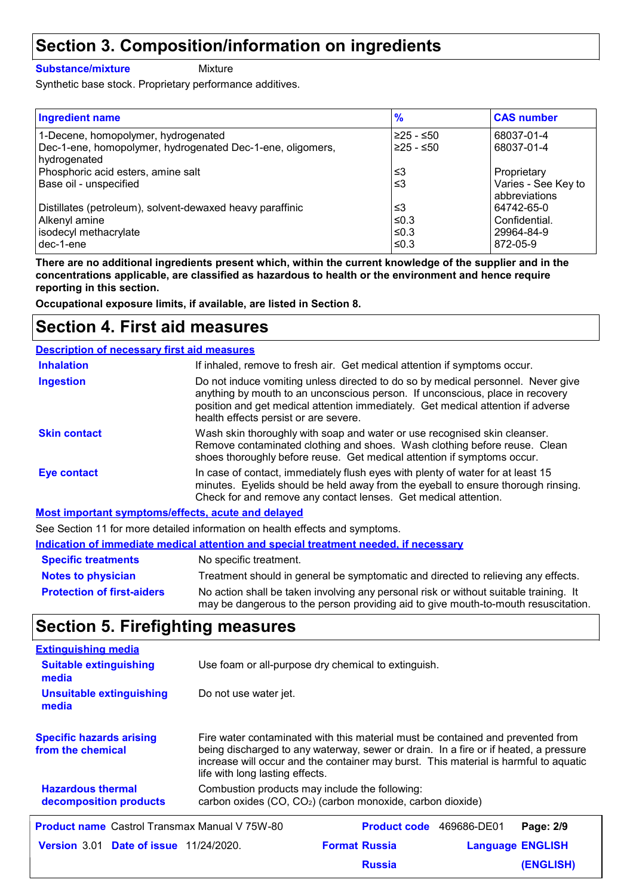## **Section 3. Composition/information on ingredients**

#### **Substance/mixture**

Mixture

Synthetic base stock. Proprietary performance additives.

| <b>Ingredient name</b>                                                                            | $\frac{9}{6}$            | <b>CAS number</b>                  |
|---------------------------------------------------------------------------------------------------|--------------------------|------------------------------------|
| 1-Decene, homopolymer, hydrogenated<br>Dec-1-ene, homopolymer, hydrogenated Dec-1-ene, oligomers, | ≥25 - ≤50<br>$≥25 - ≤50$ | 68037-01-4<br>68037-01-4           |
| hydrogenated<br>Phosphoric acid esters, amine salt<br>Base oil - unspecified                      | ≤3<br>≤3                 | Proprietary<br>Varies - See Key to |
| Distillates (petroleum), solvent-dewaxed heavy paraffinic                                         | ≤3                       | abbreviations<br>64742-65-0        |
| Alkenyl amine<br>isodecyl methacrylate                                                            | ≤0.3<br>≤0.3             | Confidential.<br>29964-84-9        |
| dec-1-ene                                                                                         | ≤0.3                     | 872-05-9                           |

**There are no additional ingredients present which, within the current knowledge of the supplier and in the concentrations applicable, are classified as hazardous to health or the environment and hence require reporting in this section.**

**Occupational exposure limits, if available, are listed in Section 8.**

### **Section 4. First aid measures**

| <b>Description of necessary first aid measures</b> |                                                                                                                                                                                                                                                                                                |
|----------------------------------------------------|------------------------------------------------------------------------------------------------------------------------------------------------------------------------------------------------------------------------------------------------------------------------------------------------|
| <b>Inhalation</b>                                  | If inhaled, remove to fresh air. Get medical attention if symptoms occur.                                                                                                                                                                                                                      |
| <b>Ingestion</b>                                   | Do not induce vomiting unless directed to do so by medical personnel. Never give<br>anything by mouth to an unconscious person. If unconscious, place in recovery<br>position and get medical attention immediately. Get medical attention if adverse<br>health effects persist or are severe. |
| <b>Skin contact</b>                                | Wash skin thoroughly with soap and water or use recognised skin cleanser.<br>Remove contaminated clothing and shoes. Wash clothing before reuse. Clean<br>shoes thoroughly before reuse. Get medical attention if symptoms occur.                                                              |
| <b>Eye contact</b>                                 | In case of contact, immediately flush eyes with plenty of water for at least 15<br>minutes. Eyelids should be held away from the eyeball to ensure thorough rinsing.<br>Check for and remove any contact lenses. Get medical attention.                                                        |
| Most important symptoms/offocts, acuto and dolared |                                                                                                                                                                                                                                                                                                |

**Most important symptoms/effects, acute and delayed** See Section 11 for more detailed information on health effects and symptoms.

|  |  | See Section TT for more detailed implifiation on health effects and symptoms.                                   |  |  |  |  |  |  |  |
|--|--|-----------------------------------------------------------------------------------------------------------------|--|--|--|--|--|--|--|
|  |  | <u>Indication of immediate medical attention and special treatment needed, if necessary</u>                     |  |  |  |  |  |  |  |
|  |  | and the state of the state of the state of the state of the state of the state of the state of the state of the |  |  |  |  |  |  |  |

| <b>Specific treatments</b>        | No specific treatment.                                                                                                                                                      |
|-----------------------------------|-----------------------------------------------------------------------------------------------------------------------------------------------------------------------------|
| <b>Notes to physician</b>         | Treatment should in general be symptomatic and directed to relieving any effects.                                                                                           |
| <b>Protection of first-aiders</b> | No action shall be taken involving any personal risk or without suitable training. It<br>may be dangerous to the person providing aid to give mouth-to-mouth resuscitation. |

## **Section 5. Firefighting measures**

| <b>Extinguishing media</b>                           |                                                                                                                                                                                                                                                                                                    |                      |                         |                  |  |  |
|------------------------------------------------------|----------------------------------------------------------------------------------------------------------------------------------------------------------------------------------------------------------------------------------------------------------------------------------------------------|----------------------|-------------------------|------------------|--|--|
| <b>Suitable extinguishing</b><br>media               | Use foam or all-purpose dry chemical to extinguish.                                                                                                                                                                                                                                                |                      |                         |                  |  |  |
| <b>Unsuitable extinguishing</b><br>media             | Do not use water jet.                                                                                                                                                                                                                                                                              |                      |                         |                  |  |  |
| <b>Specific hazards arising</b><br>from the chemical | Fire water contaminated with this material must be contained and prevented from<br>being discharged to any waterway, sewer or drain. In a fire or if heated, a pressure<br>increase will occur and the container may burst. This material is harmful to aquatic<br>life with long lasting effects. |                      |                         |                  |  |  |
| <b>Hazardous thermal</b><br>decomposition products   | Combustion products may include the following:<br>carbon oxides (CO, CO <sub>2</sub> ) (carbon monoxide, carbon dioxide)                                                                                                                                                                           |                      |                         |                  |  |  |
| <b>Product name</b> Castrol Transmax Manual V 75W-80 |                                                                                                                                                                                                                                                                                                    | <b>Product code</b>  | 469686-DE01             | Page: 2/9        |  |  |
| <b>Version 3.01 Date of issue 11/24/2020.</b>        |                                                                                                                                                                                                                                                                                                    | <b>Format Russia</b> | <b>Language ENGLISH</b> |                  |  |  |
|                                                      |                                                                                                                                                                                                                                                                                                    | <b>Russia</b>        |                         | <b>(ENGLISH)</b> |  |  |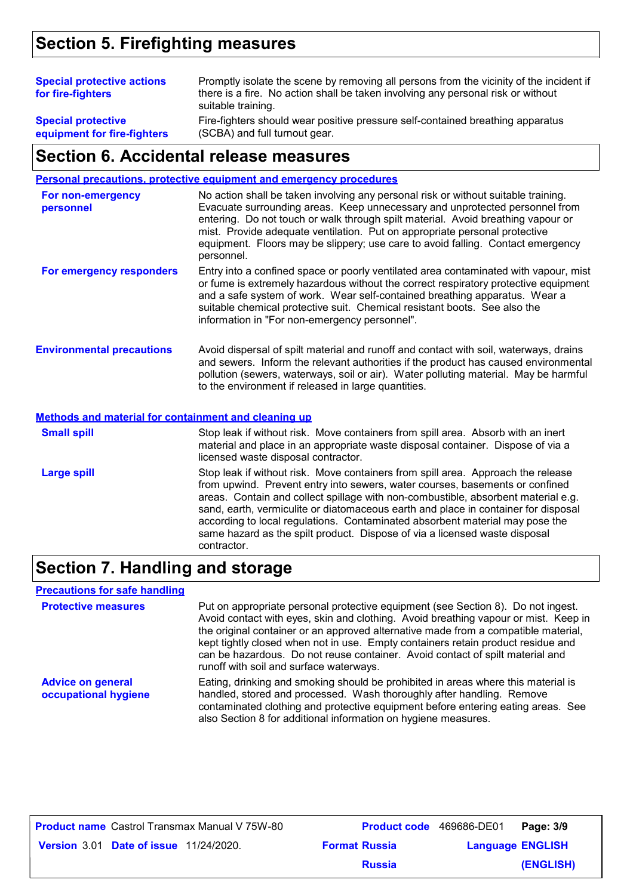## **Section 5. Firefighting measures**

| <b>Special protective actions</b><br>for fire-fighters   | Promptly isolate the scene by removing all persons from the vicinity of the incident if<br>there is a fire. No action shall be taken involving any personal risk or without<br>suitable training. |
|----------------------------------------------------------|---------------------------------------------------------------------------------------------------------------------------------------------------------------------------------------------------|
| <b>Special protective</b><br>equipment for fire-fighters | Fire-fighters should wear positive pressure self-contained breathing apparatus<br>(SCBA) and full turnout gear.                                                                                   |
|                                                          |                                                                                                                                                                                                   |

#### **Section 6. Accidental release measures**

|                                  | Personal precautions, protective equipment and emergency procedures                                                                                                                                                                                                                                                                                                                                                                  |
|----------------------------------|--------------------------------------------------------------------------------------------------------------------------------------------------------------------------------------------------------------------------------------------------------------------------------------------------------------------------------------------------------------------------------------------------------------------------------------|
| For non-emergency<br>personnel   | No action shall be taken involving any personal risk or without suitable training.<br>Evacuate surrounding areas. Keep unnecessary and unprotected personnel from<br>entering. Do not touch or walk through spilt material. Avoid breathing vapour or<br>mist. Provide adequate ventilation. Put on appropriate personal protective<br>equipment. Floors may be slippery; use care to avoid falling. Contact emergency<br>personnel. |
| For emergency responders         | Entry into a confined space or poorly ventilated area contaminated with vapour, mist<br>or fume is extremely hazardous without the correct respiratory protective equipment<br>and a safe system of work. Wear self-contained breathing apparatus. Wear a<br>suitable chemical protective suit. Chemical resistant boots. See also the<br>information in "For non-emergency personnel".                                              |
| <b>Environmental precautions</b> | Avoid dispersal of spilt material and runoff and contact with soil, waterways, drains<br>and sewers. Inform the relevant authorities if the product has caused environmental<br>pollution (sewers, waterways, soil or air). Water polluting material. May be harmful<br>to the environment if released in large quantities.                                                                                                          |

**Methods and material for containment and cleaning up**

Stop leak if without risk. Move containers from spill area. Approach the release from upwind. Prevent entry into sewers, water courses, basements or confined areas. Contain and collect spillage with non-combustible, absorbent material e.g. sand, earth, vermiculite or diatomaceous earth and place in container for disposal according to local regulations. Contaminated absorbent material may pose the same hazard as the spilt product. Dispose of via a licensed waste disposal contractor. **Large spill** Stop leak if without risk. Move containers from spill area. Absorb with an inert material and place in an appropriate waste disposal container. Dispose of via a licensed waste disposal contractor. **Small spill**

### **Section 7. Handling and storage**

#### **Precautions for safe handling**

| <b>Protective measures</b>                       | Put on appropriate personal protective equipment (see Section 8). Do not ingest.<br>Avoid contact with eyes, skin and clothing. Avoid breathing vapour or mist. Keep in<br>the original container or an approved alternative made from a compatible material,<br>kept tightly closed when not in use. Empty containers retain product residue and<br>can be hazardous. Do not reuse container. Avoid contact of spilt material and<br>runoff with soil and surface waterways. |  |  |  |
|--------------------------------------------------|-------------------------------------------------------------------------------------------------------------------------------------------------------------------------------------------------------------------------------------------------------------------------------------------------------------------------------------------------------------------------------------------------------------------------------------------------------------------------------|--|--|--|
| <b>Advice on general</b><br>occupational hygiene | Eating, drinking and smoking should be prohibited in areas where this material is<br>handled, stored and processed. Wash thoroughly after handling. Remove<br>contaminated clothing and protective equipment before entering eating areas. See<br>also Section 8 for additional information on hygiene measures.                                                                                                                                                              |  |  |  |

|                                               | <b>Product name</b> Castrol Transmax Manual V 75W-80 |                      | <b>Product code</b> 469686-DE01 | Page: 3/9 |
|-----------------------------------------------|------------------------------------------------------|----------------------|---------------------------------|-----------|
| <b>Version 3.01 Date of issue 11/24/2020.</b> |                                                      | <b>Format Russia</b> | <b>Language ENGLISH</b>         |           |
|                                               |                                                      | <b>Russia</b>        |                                 | (ENGLISH) |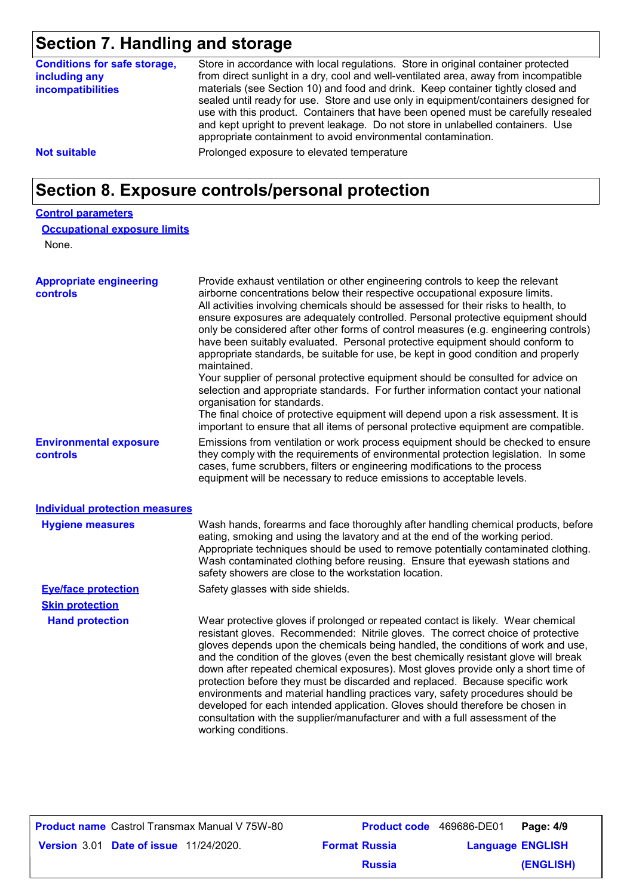## **Section 7. Handling and storage**

| Section 7. Handling and Storage                                           |                                                                                                                                                                                                                                                                                                                                                                                                                                                                                                                                                                                                                                                                                                                                                                                                                                                                                                                                                                                                               |
|---------------------------------------------------------------------------|---------------------------------------------------------------------------------------------------------------------------------------------------------------------------------------------------------------------------------------------------------------------------------------------------------------------------------------------------------------------------------------------------------------------------------------------------------------------------------------------------------------------------------------------------------------------------------------------------------------------------------------------------------------------------------------------------------------------------------------------------------------------------------------------------------------------------------------------------------------------------------------------------------------------------------------------------------------------------------------------------------------|
| <b>Conditions for safe storage,</b><br>including any<br>incompatibilities | Store in accordance with local regulations. Store in original container protected<br>from direct sunlight in a dry, cool and well-ventilated area, away from incompatible<br>materials (see Section 10) and food and drink. Keep container tightly closed and<br>sealed until ready for use. Store and use only in equipment/containers designed for<br>use with this product. Containers that have been opened must be carefully resealed<br>and kept upright to prevent leakage. Do not store in unlabelled containers. Use<br>appropriate containment to avoid environmental contamination.                                                                                                                                                                                                                                                                                                                                                                                                                |
| <b>Not suitable</b>                                                       | Prolonged exposure to elevated temperature                                                                                                                                                                                                                                                                                                                                                                                                                                                                                                                                                                                                                                                                                                                                                                                                                                                                                                                                                                    |
|                                                                           | Section 8. Exposure controls/personal protection                                                                                                                                                                                                                                                                                                                                                                                                                                                                                                                                                                                                                                                                                                                                                                                                                                                                                                                                                              |
| <b>Control parameters</b>                                                 |                                                                                                                                                                                                                                                                                                                                                                                                                                                                                                                                                                                                                                                                                                                                                                                                                                                                                                                                                                                                               |
| <b>Occupational exposure limits</b>                                       |                                                                                                                                                                                                                                                                                                                                                                                                                                                                                                                                                                                                                                                                                                                                                                                                                                                                                                                                                                                                               |
| None.                                                                     |                                                                                                                                                                                                                                                                                                                                                                                                                                                                                                                                                                                                                                                                                                                                                                                                                                                                                                                                                                                                               |
| <b>Appropriate engineering</b><br>controls                                | Provide exhaust ventilation or other engineering controls to keep the relevant<br>airborne concentrations below their respective occupational exposure limits.<br>All activities involving chemicals should be assessed for their risks to health, to<br>ensure exposures are adequately controlled. Personal protective equipment should<br>only be considered after other forms of control measures (e.g. engineering controls)<br>have been suitably evaluated. Personal protective equipment should conform to<br>appropriate standards, be suitable for use, be kept in good condition and properly<br>maintained.<br>Your supplier of personal protective equipment should be consulted for advice on<br>selection and appropriate standards. For further information contact your national<br>organisation for standards.<br>The final choice of protective equipment will depend upon a risk assessment. It is<br>important to ensure that all items of personal protective equipment are compatible. |
| <b>Environmental exposure</b><br>controls                                 | Emissions from ventilation or work process equipment should be checked to ensure<br>they comply with the requirements of environmental protection legislation. In some<br>cases, fume scrubbers, filters or engineering modifications to the process<br>equipment will be necessary to reduce emissions to acceptable levels.                                                                                                                                                                                                                                                                                                                                                                                                                                                                                                                                                                                                                                                                                 |

#### **Individual protection measures**

| <b>Hygiene measures</b>    | Wash hands, forearms and face thoroughly after handling chemical products, before<br>eating, smoking and using the lavatory and at the end of the working period.<br>Appropriate techniques should be used to remove potentially contaminated clothing.<br>Wash contaminated clothing before reusing. Ensure that eyewash stations and<br>safety showers are close to the workstation location.                                                                                                                                                                                                                                                                                                                                                                                                 |
|----------------------------|-------------------------------------------------------------------------------------------------------------------------------------------------------------------------------------------------------------------------------------------------------------------------------------------------------------------------------------------------------------------------------------------------------------------------------------------------------------------------------------------------------------------------------------------------------------------------------------------------------------------------------------------------------------------------------------------------------------------------------------------------------------------------------------------------|
| <b>Eye/face protection</b> | Safety glasses with side shields.                                                                                                                                                                                                                                                                                                                                                                                                                                                                                                                                                                                                                                                                                                                                                               |
| <b>Skin protection</b>     |                                                                                                                                                                                                                                                                                                                                                                                                                                                                                                                                                                                                                                                                                                                                                                                                 |
| <b>Hand protection</b>     | Wear protective gloves if prolonged or repeated contact is likely. Wear chemical<br>resistant gloves. Recommended: Nitrile gloves. The correct choice of protective<br>gloves depends upon the chemicals being handled, the conditions of work and use,<br>and the condition of the gloves (even the best chemically resistant glove will break<br>down after repeated chemical exposures). Most gloves provide only a short time of<br>protection before they must be discarded and replaced. Because specific work<br>environments and material handling practices vary, safety procedures should be<br>developed for each intended application. Gloves should therefore be chosen in<br>consultation with the supplier/manufacturer and with a full assessment of the<br>working conditions. |

|                                               | <b>Product name</b> Castrol Transmax Manual V 75W-80 | <b>Product code</b> 469686-DE01 |                         | Page: 4/9 |
|-----------------------------------------------|------------------------------------------------------|---------------------------------|-------------------------|-----------|
| <b>Version 3.01 Date of issue 11/24/2020.</b> |                                                      | <b>Format Russia</b>            | <b>Language ENGLISH</b> |           |
|                                               |                                                      | <b>Russia</b>                   |                         | (ENGLISH) |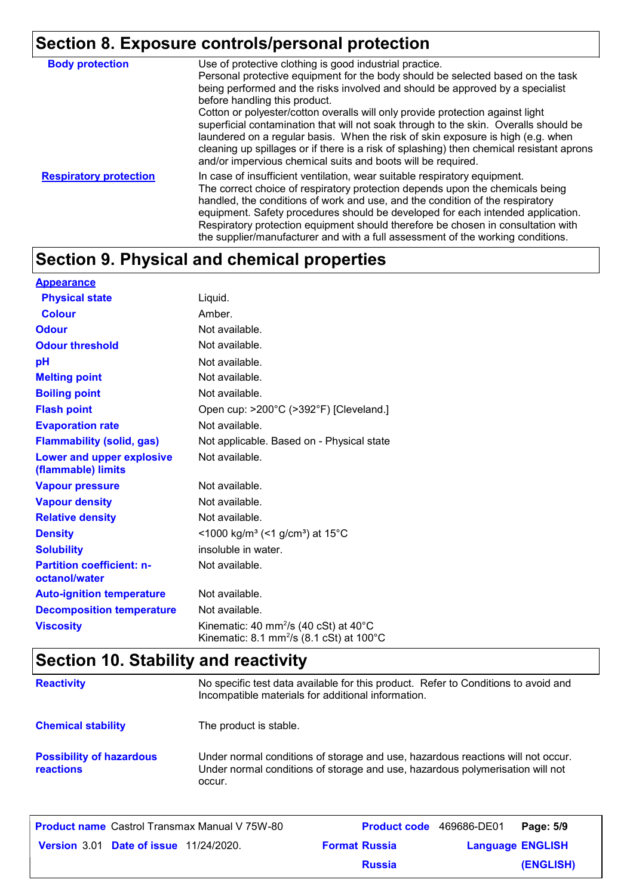## **Section 8. Exposure controls/personal protection**

| <b>Body protection</b>        | Use of protective clothing is good industrial practice.<br>Personal protective equipment for the body should be selected based on the task<br>being performed and the risks involved and should be approved by a specialist<br>before handling this product.<br>Cotton or polyester/cotton overalls will only provide protection against light<br>superficial contamination that will not soak through to the skin. Overalls should be<br>laundered on a regular basis. When the risk of skin exposure is high (e.g. when<br>cleaning up spillages or if there is a risk of splashing) then chemical resistant aprons<br>and/or impervious chemical suits and boots will be required. |
|-------------------------------|---------------------------------------------------------------------------------------------------------------------------------------------------------------------------------------------------------------------------------------------------------------------------------------------------------------------------------------------------------------------------------------------------------------------------------------------------------------------------------------------------------------------------------------------------------------------------------------------------------------------------------------------------------------------------------------|
| <b>Respiratory protection</b> | In case of insufficient ventilation, wear suitable respiratory equipment.<br>The correct choice of respiratory protection depends upon the chemicals being<br>handled, the conditions of work and use, and the condition of the respiratory<br>equipment. Safety procedures should be developed for each intended application.<br>Respiratory protection equipment should therefore be chosen in consultation with<br>the supplier/manufacturer and with a full assessment of the working conditions.                                                                                                                                                                                 |

## **Section 9. Physical and chemical properties**

| <b>Appearance</b>                                 |                                                                                                                               |
|---------------------------------------------------|-------------------------------------------------------------------------------------------------------------------------------|
| <b>Physical state</b>                             | Liquid.                                                                                                                       |
| <b>Colour</b>                                     | Amber.                                                                                                                        |
| <b>Odour</b>                                      | Not available.                                                                                                                |
| <b>Odour threshold</b>                            | Not available.                                                                                                                |
| pH                                                | Not available.                                                                                                                |
| <b>Melting point</b>                              | Not available.                                                                                                                |
| <b>Boiling point</b>                              | Not available.                                                                                                                |
| <b>Flash point</b>                                | Open cup: >200°C (>392°F) [Cleveland.]                                                                                        |
| <b>Evaporation rate</b>                           | Not available.                                                                                                                |
| <b>Flammability (solid, gas)</b>                  | Not applicable. Based on - Physical state                                                                                     |
| Lower and upper explosive<br>(flammable) limits   | Not available.                                                                                                                |
| <b>Vapour pressure</b>                            | Not available.                                                                                                                |
| <b>Vapour density</b>                             | Not available.                                                                                                                |
| <b>Relative density</b>                           | Not available.                                                                                                                |
| <b>Density</b>                                    | <1000 kg/m <sup>3</sup> (<1 g/cm <sup>3</sup> ) at 15 <sup>°</sup> C                                                          |
| <b>Solubility</b>                                 | insoluble in water.                                                                                                           |
| <b>Partition coefficient: n-</b><br>octanol/water | Not available.                                                                                                                |
| <b>Auto-ignition temperature</b>                  | Not available.                                                                                                                |
| <b>Decomposition temperature</b>                  | Not available.                                                                                                                |
| <b>Viscosity</b>                                  | Kinematic: 40 mm <sup>2</sup> /s (40 cSt) at $40^{\circ}$ C<br>Kinematic: 8.1 mm <sup>2</sup> /s (8.1 cSt) at $100^{\circ}$ C |

## **Section 10. Stability and reactivity**

| <b>Reactivity</b>                            | No specific test data available for this product. Refer to Conditions to avoid and<br>Incompatible materials for additional information.                                   |
|----------------------------------------------|----------------------------------------------------------------------------------------------------------------------------------------------------------------------------|
| <b>Chemical stability</b>                    | The product is stable.                                                                                                                                                     |
| <b>Possibility of hazardous</b><br>reactions | Under normal conditions of storage and use, hazardous reactions will not occur.<br>Under normal conditions of storage and use, hazardous polymerisation will not<br>occur. |
|                                              |                                                                                                                                                                            |

| <b>Product name</b> Castrol Transmax Manual V 75W-80 |                      | Product code 469686-DE01 Page: 5/9 |           |
|------------------------------------------------------|----------------------|------------------------------------|-----------|
| <b>Version 3.01 Date of issue 11/24/2020.</b>        | <b>Format Russia</b> | <b>Language ENGLISH</b>            |           |
|                                                      | <b>Russia</b>        |                                    | (ENGLISH) |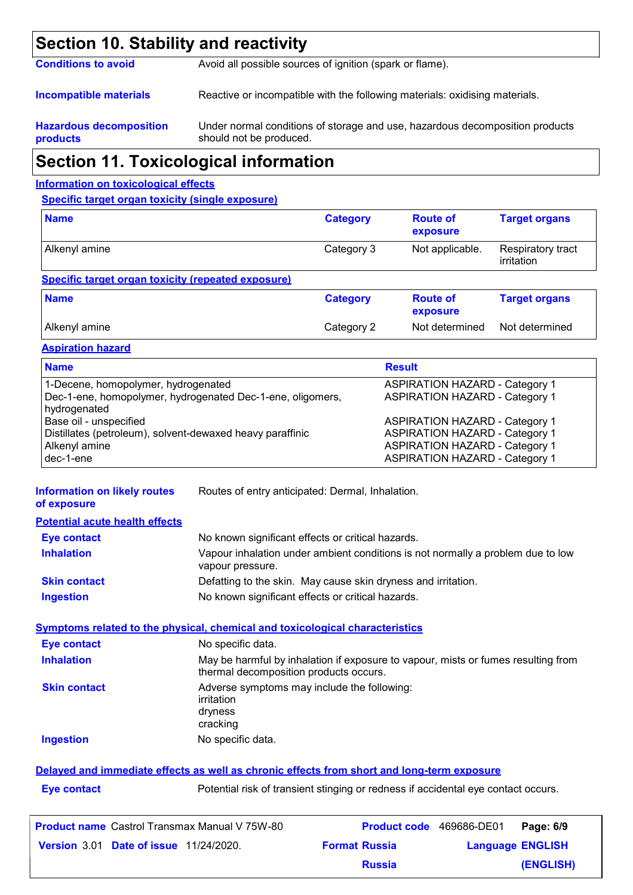## **Section 10. Stability and reactivity**

**Conditions to avoid** Avoid all possible sources of ignition (spark or flame).

**Incompatible materials** Reactive or incompatible with the following materials: oxidising materials.

#### **Hazardous decomposition products**

Under normal conditions of storage and use, hazardous decomposition products should not be produced.

## **Section 11. Toxicological information**

#### **Information on toxicological effects**

**Specific target organ toxicity (single exposure)**

| <b>Name</b>                                                                                                                                                                                                                    | <b>Category</b> | <b>Route of</b><br>exposure | <b>Target organs</b>            |
|--------------------------------------------------------------------------------------------------------------------------------------------------------------------------------------------------------------------------------|-----------------|-----------------------------|---------------------------------|
| Alkenyl amine                                                                                                                                                                                                                  | Category 3      | Not applicable.             | Respiratory tract<br>irritation |
| Specific target organ toxicity (repeated exposure)                                                                                                                                                                             |                 |                             |                                 |
| <b>Name</b>                                                                                                                                                                                                                    | <b>Category</b> | <b>Route of</b><br>exposure | <b>Target organs</b>            |
| Alkenyl amine                                                                                                                                                                                                                  | Category 2      | Not determined              | Not determined                  |
| Annual and the model of the second contract of the second of the second of the second of the second of the second of the second of the second of the second of the second of the second of the second of the second of the sec |                 |                             |                                 |

**Aspiration hazard**

| <b>Name</b>                                                | <b>Result</b>                         |
|------------------------------------------------------------|---------------------------------------|
| 1-Decene, homopolymer, hydrogenated                        | <b>ASPIRATION HAZARD - Category 1</b> |
| Dec-1-ene, homopolymer, hydrogenated Dec-1-ene, oligomers, | <b>ASPIRATION HAZARD - Category 1</b> |
| hydrogenated                                               |                                       |
| Base oil - unspecified                                     | <b>ASPIRATION HAZARD - Category 1</b> |
| Distillates (petroleum), solvent-dewaxed heavy paraffinic  | <b>ASPIRATION HAZARD - Category 1</b> |
| Alkenyl amine                                              | <b>ASPIRATION HAZARD - Category 1</b> |
| I dec-1-ene                                                | <b>ASPIRATION HAZARD - Category 1</b> |

**Information on likely routes of exposure** Routes of entry anticipated: Dermal, Inhalation.

| <b>Potential acute health effects</b> |                                                                                                     |
|---------------------------------------|-----------------------------------------------------------------------------------------------------|
| <b>Eye contact</b>                    | No known significant effects or critical hazards.                                                   |
| <b>Inhalation</b>                     | Vapour inhalation under ambient conditions is not normally a problem due to low<br>vapour pressure. |
| <b>Skin contact</b>                   | Defatting to the skin. May cause skin dryness and irritation.                                       |
| <b>Ingestion</b>                      | No known significant effects or critical hazards.                                                   |

#### **Symptoms related to the physical, chemical and toxicological characteristics**

| Eye contact         | No specific data.                                                                                                           |
|---------------------|-----------------------------------------------------------------------------------------------------------------------------|
| <b>Inhalation</b>   | May be harmful by inhalation if exposure to vapour, mists or fumes resulting from<br>thermal decomposition products occurs. |
| <b>Skin contact</b> | Adverse symptoms may include the following:<br>irritation<br>dryness<br>cracking                                            |
| <b>Ingestion</b>    | No specific data.                                                                                                           |

#### **Delayed and immediate effects as well as chronic effects from short and long-term exposure**

| <b>Eye contact</b> |
|--------------------|
|                    |

Potential risk of transient stinging or redness if accidental eye contact occurs.

| <b>Product name</b> Castrol Transmax Manual V 75W-80 |                      | <b>Product code</b> 469686-DE01 | Page: 6/9 |
|------------------------------------------------------|----------------------|---------------------------------|-----------|
| <b>Version 3.01 Date of issue 11/24/2020.</b>        | <b>Format Russia</b> | <b>Language ENGLISH</b>         |           |
|                                                      | <b>Russia</b>        |                                 | (ENGLISH) |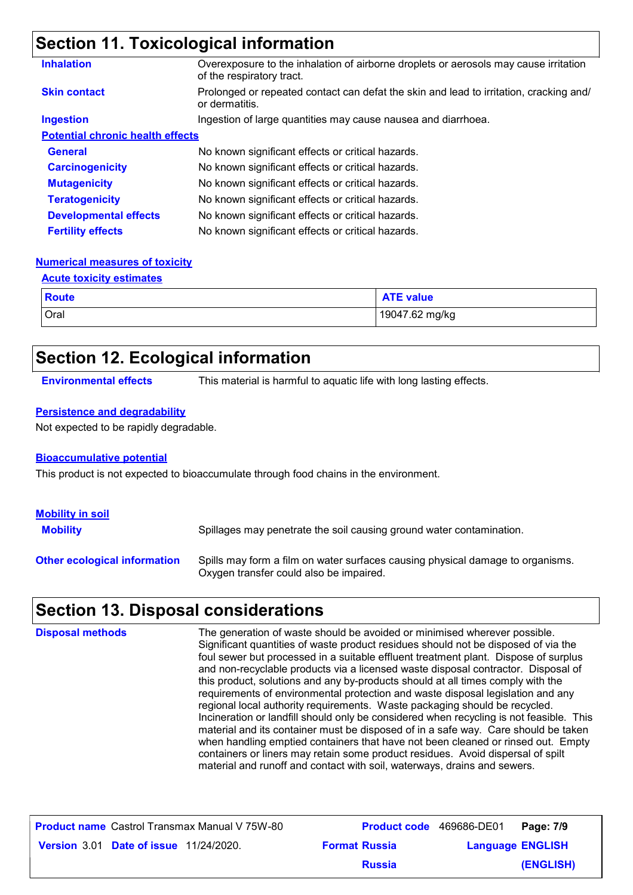## **Section 11. Toxicological information**

| <b>Inhalation</b>                       | Overexposure to the inhalation of airborne droplets or aerosols may cause irritation<br>of the respiratory tract. |
|-----------------------------------------|-------------------------------------------------------------------------------------------------------------------|
| <b>Skin contact</b>                     | Prolonged or repeated contact can defat the skin and lead to irritation, cracking and/<br>or dermatitis.          |
| <b>Ingestion</b>                        | Ingestion of large quantities may cause nausea and diarrhoea.                                                     |
| <b>Potential chronic health effects</b> |                                                                                                                   |
| <b>General</b>                          | No known significant effects or critical hazards.                                                                 |
| <b>Carcinogenicity</b>                  | No known significant effects or critical hazards.                                                                 |
| <b>Mutagenicity</b>                     | No known significant effects or critical hazards.                                                                 |
| <b>Teratogenicity</b>                   | No known significant effects or critical hazards.                                                                 |
| <b>Developmental effects</b>            | No known significant effects or critical hazards.                                                                 |
| <b>Fertility effects</b>                | No known significant effects or critical hazards.                                                                 |

#### **Numerical measures of toxicity**

**Acute toxicity estimates**

| .            |                  |
|--------------|------------------|
| <b>Route</b> | <b>ATE value</b> |
| Oral         | 19047.62 mg/kg   |

### **Section 12. Ecological information**

**Environmental effects** This material is harmful to aquatic life with long lasting effects.

#### **Persistence and degradability**

Not expected to be rapidly degradable.

#### **Bioaccumulative potential**

This product is not expected to bioaccumulate through food chains in the environment.

| <b>Mobility in soil</b><br><b>Mobility</b> | Spillages may penetrate the soil causing ground water contamination.                                                      |
|--------------------------------------------|---------------------------------------------------------------------------------------------------------------------------|
| <b>Other ecological information</b>        | Spills may form a film on water surfaces causing physical damage to organisms.<br>Oxygen transfer could also be impaired. |

### **Section 13. Disposal considerations**

The generation of waste should be avoided or minimised wherever possible. Significant quantities of waste product residues should not be disposed of via the foul sewer but processed in a suitable effluent treatment plant. Dispose of surplus and non-recyclable products via a licensed waste disposal contractor. Disposal of this product, solutions and any by-products should at all times comply with the requirements of environmental protection and waste disposal legislation and any regional local authority requirements. Waste packaging should be recycled. Incineration or landfill should only be considered when recycling is not feasible. This material and its container must be disposed of in a safe way. Care should be taken when handling emptied containers that have not been cleaned or rinsed out. Empty containers or liners may retain some product residues. Avoid dispersal of spilt material and runoff and contact with soil, waterways, drains and sewers. **Disposal methods**

| <b>Product name</b> Castrol Transmax Manual V 75W-80 |                      | <b>Product code</b> 469686-DE01 | Page: 7/9 |
|------------------------------------------------------|----------------------|---------------------------------|-----------|
| <b>Version 3.01 Date of issue 11/24/2020.</b>        | <b>Format Russia</b> | <b>Language ENGLISH</b>         |           |
|                                                      | <b>Russia</b>        |                                 | (ENGLISH) |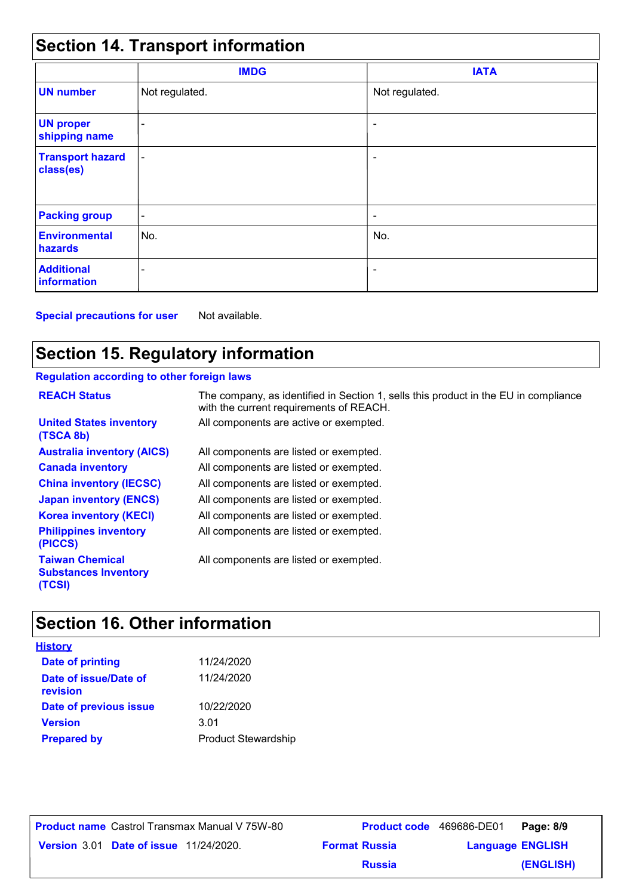## **Section 14. Transport information**

|                                      | <b>IMDG</b>              | <b>IATA</b>    |  |
|--------------------------------------|--------------------------|----------------|--|
| <b>UN number</b>                     | Not regulated.           | Not regulated. |  |
| <b>UN proper</b><br>shipping name    | $\overline{\phantom{a}}$ | ٠              |  |
| <b>Transport hazard</b><br>class(es) | $\overline{\phantom{a}}$ | ٠              |  |
| <b>Packing group</b>                 | $\overline{\phantom{a}}$ | ٠              |  |
| <b>Environmental</b><br>hazards      | No.                      | No.            |  |
| <b>Additional</b><br>information     | ٠                        | ٠              |  |

**Special precautions for user** Not available.

## **Section 15. Regulatory information**

#### **Regulation according to other foreign laws**

| <b>REACH Status</b>                                             | The company, as identified in Section 1, sells this product in the EU in compliance<br>with the current requirements of REACH. |
|-----------------------------------------------------------------|--------------------------------------------------------------------------------------------------------------------------------|
| <b>United States inventory</b><br>(TSCA 8b)                     | All components are active or exempted.                                                                                         |
| <b>Australia inventory (AICS)</b>                               | All components are listed or exempted.                                                                                         |
| <b>Canada inventory</b>                                         | All components are listed or exempted.                                                                                         |
| <b>China inventory (IECSC)</b>                                  | All components are listed or exempted.                                                                                         |
| <b>Japan inventory (ENCS)</b>                                   | All components are listed or exempted.                                                                                         |
| <b>Korea inventory (KECI)</b>                                   | All components are listed or exempted.                                                                                         |
| <b>Philippines inventory</b><br>(PICCS)                         | All components are listed or exempted.                                                                                         |
| <b>Taiwan Chemical</b><br><b>Substances Inventory</b><br>(TCSI) | All components are listed or exempted.                                                                                         |

## **Section 16. Other information**

| <b>History</b>                    |                            |
|-----------------------------------|----------------------------|
| <b>Date of printing</b>           | 11/24/2020                 |
| Date of issue/Date of<br>revision | 11/24/2020                 |
| Date of previous issue            | 10/22/2020                 |
| <b>Version</b>                    | 3.01                       |
| <b>Prepared by</b>                | <b>Product Stewardship</b> |

**Date of issue** 11/24/2020. **Version** 3.01 **Format Russia Language Product name** Castrol Transmax Manual V 75W-80 **Product code** 469686-DE01 **Page: 8/9** | **Language ENGLISH (ENGLISH)** Product code 469686-DE01 Page: 8/9 **Russia**